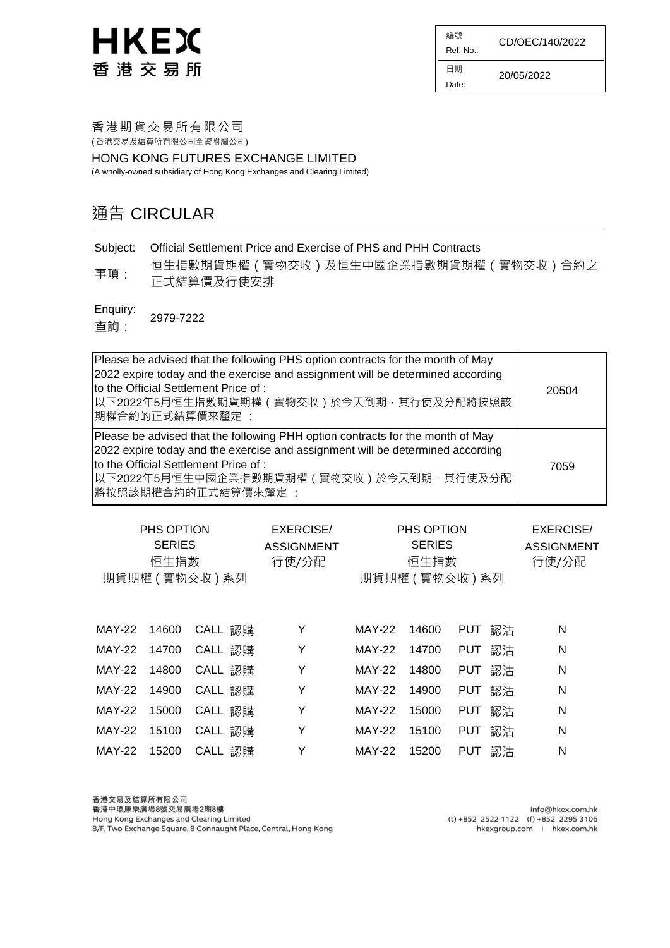編號 Ref. No.: 日期 CD/OEC/140/2022

Date: 20/05/2022

香港期貨交易所有限公司 ( 香港交易及結算所有限公司全資附屬公司)

HONG KONG FUTURES EXCHANGE LIMITED

(A wholly-owned subsidiary of Hong Kong Exchanges and Clearing Limited)

#### 通告 CIRCULAR

Subject: Official Settlement Price and Exercise of PHS and PHH Contracts

事項: 恒生指數期貨期權(實物交收)及恒生中國企業指數期貨期權(實物交收)合約之 正式結算價及行使安排

Enquiry: 2979-7222

查詢:

| Please be advised that the following PHS option contracts for the month of May<br>2022 expire today and the exercise and assignment will be determined according<br>to the Official Settlement Price of:<br>以下2022年5月恒生指數期貨期權 ( 實物交收 ) 於今天到期, 其行使及分配將按照該<br>期權合約的正式結算價來釐定:   | 20504 |
|------------------------------------------------------------------------------------------------------------------------------------------------------------------------------------------------------------------------------------------------------------------------------|-------|
| Please be advised that the following PHH option contracts for the month of May<br>2022 expire today and the exercise and assignment will be determined according<br>to the Official Settlement Price of:<br> 以下2022年5月恒生中國企業指數期貨期權(實物交收)於今天到期 · 其行使及分配<br>將按照該期權合約的正式結算價來釐定: | 7059  |

| PHS OPTION<br><b>SERIES</b><br>恒生指數<br>期貨期權 (實物交收) 系列 |       |         | <b>EXERCISE/</b><br><b>ASSIGNMENT</b><br>行使/分配 | PHS OPTION<br><b>SERIES</b><br>恒生指數<br>期貨期權 (實物交收) 系列 |       |                  | <b>EXERCISE/</b><br><b>ASSIGNMENT</b><br>行使/分配 |
|-------------------------------------------------------|-------|---------|------------------------------------------------|-------------------------------------------------------|-------|------------------|------------------------------------------------|
| <b>MAY-22</b>                                         | 14600 | CALL 認購 | Υ                                              | <b>MAY-22</b>                                         | 14600 | 認沽<br><b>PUT</b> | N                                              |
| <b>MAY-22</b>                                         | 14700 | CALL 認購 | Υ                                              | <b>MAY-22</b>                                         | 14700 | 認沽<br><b>PUT</b> | N                                              |
| <b>MAY-22</b>                                         | 14800 | CALL 認購 | Y                                              | <b>MAY-22</b>                                         | 14800 | 認沽<br><b>PUT</b> | N                                              |
| <b>MAY-22</b>                                         | 14900 | CALL 認購 | Y                                              | <b>MAY-22</b>                                         | 14900 | 認沽<br><b>PUT</b> | N                                              |
| <b>MAY-22</b>                                         | 15000 | CALL 認購 | Υ                                              | <b>MAY-22</b>                                         | 15000 | <b>PUT</b><br>認沽 | N                                              |
| <b>MAY-22</b>                                         | 15100 | CALL 認購 | Υ                                              | <b>MAY-22</b>                                         | 15100 | 認沽<br><b>PUT</b> | N                                              |
| <b>MAY-22</b>                                         | 15200 | CALL 認購 | Y                                              | <b>MAY-22</b>                                         | 15200 | 認沽<br><b>PUT</b> | N                                              |

香港交易及結算所有限公司 香港中環康樂廣場8號交易廣場2期8樓 Hong Kong Exchanges and Clearing Limited 8/F, Two Exchange Square, 8 Connaught Place, Central, Hong Kong

info@hkex.com.hk (t) +852 2522 1122 (f) +852 2295 3106 hkexgroup.com | hkex.com.hk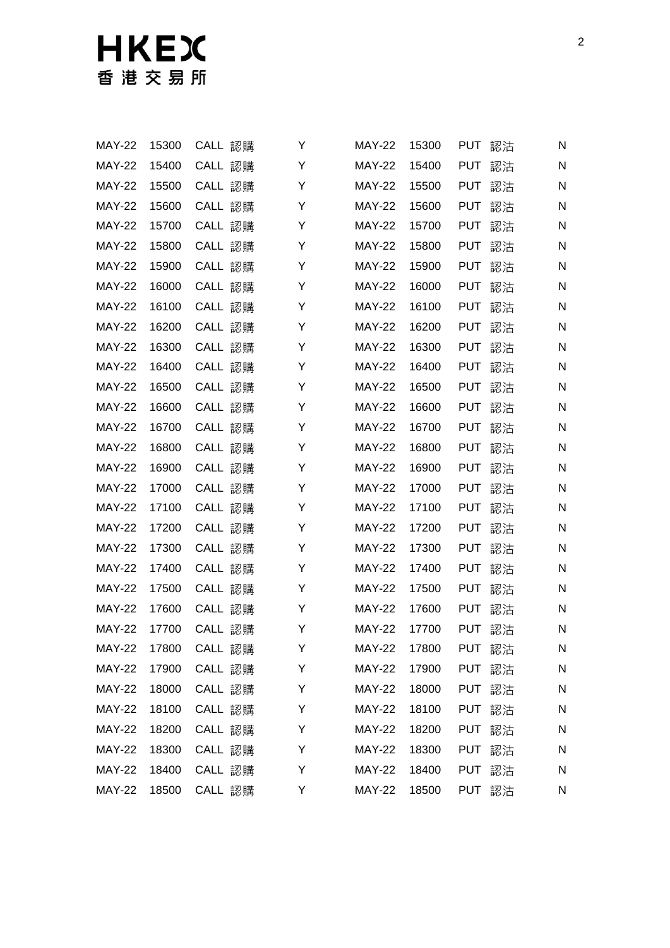| <b>MAY-22</b> | 15300 | CALL 認購 | Y | <b>MAY-22</b> | 15300 | <b>PUT</b><br>認沽 | N |
|---------------|-------|---------|---|---------------|-------|------------------|---|
| <b>MAY-22</b> | 15400 | CALL 認購 | Υ | <b>MAY-22</b> | 15400 | <b>PUT</b><br>認沽 | N |
| <b>MAY-22</b> | 15500 | CALL 認購 | Υ | <b>MAY-22</b> | 15500 | <b>PUT</b><br>認沽 | N |
| <b>MAY-22</b> | 15600 | CALL 認購 | Υ | <b>MAY-22</b> | 15600 | <b>PUT</b><br>認沽 | N |
| <b>MAY-22</b> | 15700 | CALL 認購 | Υ | <b>MAY-22</b> | 15700 | <b>PUT</b><br>認沽 | N |
| <b>MAY-22</b> | 15800 | CALL 認購 | Υ | <b>MAY-22</b> | 15800 | <b>PUT</b><br>認沽 | N |
| <b>MAY-22</b> | 15900 | CALL 認購 | Y | <b>MAY-22</b> | 15900 | <b>PUT</b><br>認沽 | N |
| <b>MAY-22</b> | 16000 | CALL 認購 | Y | <b>MAY-22</b> | 16000 | <b>PUT</b><br>認沽 | N |
| <b>MAY-22</b> | 16100 | CALL 認購 | Y | <b>MAY-22</b> | 16100 | <b>PUT</b><br>認沽 | N |
| <b>MAY-22</b> | 16200 | CALL 認購 | Y | <b>MAY-22</b> | 16200 | <b>PUT</b><br>認沽 | N |
| <b>MAY-22</b> | 16300 | CALL 認購 | Y | <b>MAY-22</b> | 16300 | <b>PUT</b><br>認沽 | N |
| <b>MAY-22</b> | 16400 | CALL 認購 | Y | <b>MAY-22</b> | 16400 | <b>PUT</b><br>認沽 | N |
| <b>MAY-22</b> | 16500 | CALL 認購 | Y | <b>MAY-22</b> | 16500 | <b>PUT</b><br>認沽 | N |
| <b>MAY-22</b> | 16600 | CALL 認購 | Y | <b>MAY-22</b> | 16600 | <b>PUT</b><br>認沽 | N |
| <b>MAY-22</b> | 16700 | CALL 認購 | Y | <b>MAY-22</b> | 16700 | <b>PUT</b><br>認沽 | N |
| <b>MAY-22</b> | 16800 | CALL 認購 | Y | <b>MAY-22</b> | 16800 | <b>PUT</b><br>認沽 | N |
| <b>MAY-22</b> | 16900 | CALL 認購 | Y | <b>MAY-22</b> | 16900 | <b>PUT</b><br>認沽 | N |
| <b>MAY-22</b> | 17000 | CALL 認購 | Y | <b>MAY-22</b> | 17000 | <b>PUT</b><br>認沽 | N |
| <b>MAY-22</b> | 17100 | CALL 認購 | Y | <b>MAY-22</b> | 17100 | <b>PUT</b><br>認沽 | N |
| <b>MAY-22</b> | 17200 | CALL 認購 | Y | <b>MAY-22</b> | 17200 | <b>PUT</b><br>認沽 | N |
| <b>MAY-22</b> | 17300 | CALL 認購 | Υ | <b>MAY-22</b> | 17300 | <b>PUT</b><br>認沽 | N |
| <b>MAY-22</b> | 17400 | CALL 認購 | Y | <b>MAY-22</b> | 17400 | PUT 認沽           | N |
| <b>MAY-22</b> | 17500 | CALL 認購 | Y | <b>MAY-22</b> | 17500 | <b>PUT</b><br>認沽 | N |
| <b>MAY-22</b> | 17600 | CALL 認購 | Y | <b>MAY-22</b> | 17600 | PUT 認沽           | N |
| <b>MAY-22</b> | 17700 | CALL 認購 | Υ | <b>MAY-22</b> | 17700 | PUT 認沽           | N |
| <b>MAY-22</b> | 17800 | CALL 認購 | Y | <b>MAY-22</b> | 17800 | 認沽<br>PUT        | N |
| <b>MAY-22</b> | 17900 | CALL 認購 | Υ | <b>MAY-22</b> | 17900 | <b>PUT</b><br>認沽 | N |
| <b>MAY-22</b> | 18000 | CALL 認購 | Υ | <b>MAY-22</b> | 18000 | PUT 認沽           | N |
| <b>MAY-22</b> | 18100 | CALL 認購 | Υ | <b>MAY-22</b> | 18100 | PUT 認沽           | N |
| <b>MAY-22</b> | 18200 | CALL 認購 | Y | <b>MAY-22</b> | 18200 | PUT 認沽           | N |
| <b>MAY-22</b> | 18300 | CALL 認購 | Υ | <b>MAY-22</b> | 18300 | PUT 認沽           | N |
| <b>MAY-22</b> | 18400 | CALL 認購 | Υ | <b>MAY-22</b> | 18400 | PUT 認沽           | N |
| <b>MAY-22</b> | 18500 | CALL 認購 | Y | <b>MAY-22</b> | 18500 | PUT 認沽           | N |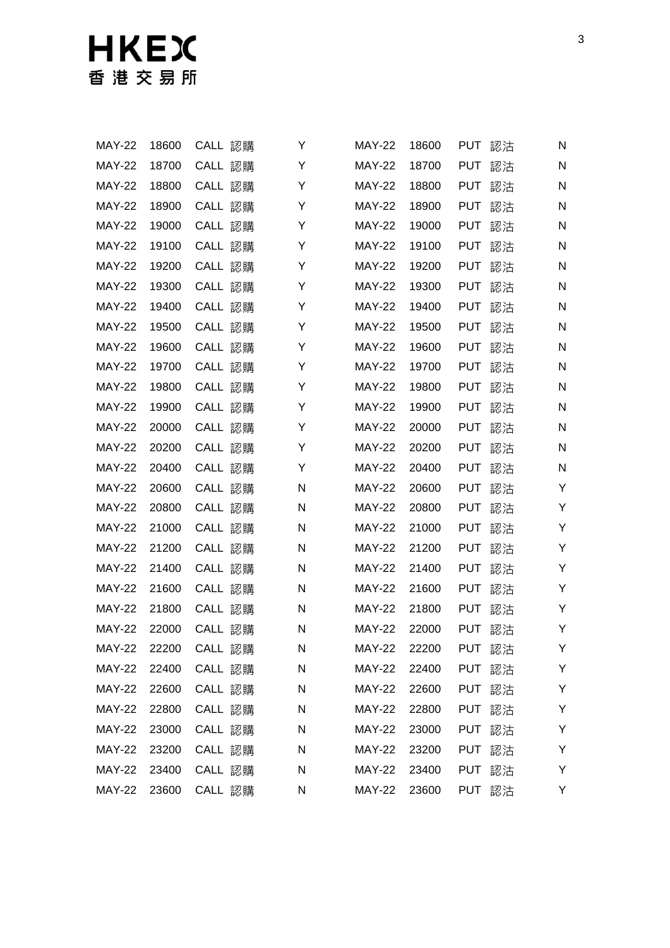# 日KEX

| <b>MAY-22</b> | 18600 | CALL 認購 | Y | <b>MAY-22</b> | 18600 | <b>PUT</b> | 認沽 | N  |
|---------------|-------|---------|---|---------------|-------|------------|----|----|
| <b>MAY-22</b> | 18700 | CALL 認購 | Υ | <b>MAY-22</b> | 18700 | <b>PUT</b> | 認沽 | N  |
| <b>MAY-22</b> | 18800 | CALL 認購 | Υ | <b>MAY-22</b> | 18800 | <b>PUT</b> | 認沽 | N  |
| <b>MAY-22</b> | 18900 | CALL 認購 | Υ | <b>MAY-22</b> | 18900 | <b>PUT</b> | 認沽 | N  |
| <b>MAY-22</b> | 19000 | CALL 認購 | Υ | <b>MAY-22</b> | 19000 | <b>PUT</b> | 認沽 | N  |
| <b>MAY-22</b> | 19100 | CALL 認購 | Υ | <b>MAY-22</b> | 19100 | <b>PUT</b> | 認沽 | N  |
| <b>MAY-22</b> | 19200 | CALL 認購 | Υ | <b>MAY-22</b> | 19200 | <b>PUT</b> | 認沽 | N  |
| <b>MAY-22</b> | 19300 | CALL 認購 | Y | <b>MAY-22</b> | 19300 | <b>PUT</b> | 認沽 | N  |
| <b>MAY-22</b> | 19400 | CALL 認購 | Υ | <b>MAY-22</b> | 19400 | <b>PUT</b> | 認沽 | N  |
| <b>MAY-22</b> | 19500 | CALL 認購 | Y | <b>MAY-22</b> | 19500 | <b>PUT</b> | 認沽 | N  |
| <b>MAY-22</b> | 19600 | CALL 認購 | Υ | <b>MAY-22</b> | 19600 | <b>PUT</b> | 認沽 | N  |
| <b>MAY-22</b> | 19700 | CALL 認購 | Y | <b>MAY-22</b> | 19700 | <b>PUT</b> | 認沽 | N  |
| <b>MAY-22</b> | 19800 | CALL 認購 | Υ | <b>MAY-22</b> | 19800 | <b>PUT</b> | 認沽 | N  |
| <b>MAY-22</b> | 19900 | CALL 認購 | Υ | <b>MAY-22</b> | 19900 | <b>PUT</b> | 認沽 | N  |
| <b>MAY-22</b> | 20000 | CALL 認購 | Υ | <b>MAY-22</b> | 20000 | <b>PUT</b> | 認沽 | N  |
| <b>MAY-22</b> | 20200 | CALL 認購 | Υ | <b>MAY-22</b> | 20200 | <b>PUT</b> | 認沽 | N  |
| <b>MAY-22</b> | 20400 | CALL 認購 | Υ | <b>MAY-22</b> | 20400 | <b>PUT</b> | 認沽 | N  |
| <b>MAY-22</b> | 20600 | CALL 認購 | N | <b>MAY-22</b> | 20600 | <b>PUT</b> | 認沽 | Υ  |
| <b>MAY-22</b> | 20800 | CALL 認購 | Ν | <b>MAY-22</b> | 20800 | <b>PUT</b> | 認沽 | Υ  |
| <b>MAY-22</b> | 21000 | CALL 認購 | Ν | <b>MAY-22</b> | 21000 | <b>PUT</b> | 認沽 | Υ  |
| <b>MAY-22</b> | 21200 | CALL 認購 | Ν | <b>MAY-22</b> | 21200 | <b>PUT</b> | 認沽 | Υ  |
| <b>MAY-22</b> | 21400 | CALL 認購 | Ν | <b>MAY-22</b> | 21400 | <b>PUT</b> | 認沽 | Y  |
| <b>MAY-22</b> | 21600 | CALL 認購 | N | <b>MAY-22</b> | 21600 | <b>PUT</b> | 認沽 | Υ  |
| <b>MAY-22</b> | 21800 | CALL 認購 | N | <b>MAY-22</b> | 21800 | <b>PUT</b> | 認沽 | Y  |
| <b>MAY-22</b> | 22000 | CALL 認購 | Ν | <b>MAY-22</b> | 22000 | PUT 認沽     |    | Y  |
| MAY-22        | 22200 | CALL 認購 | N | <b>MAY-22</b> | 22200 | <b>PUT</b> | 認沽 | Y. |
| <b>MAY-22</b> | 22400 | CALL 認購 | N | <b>MAY-22</b> | 22400 | <b>PUT</b> | 認沽 | Υ  |
| <b>MAY-22</b> | 22600 | CALL 認購 | N | <b>MAY-22</b> | 22600 | PUT 認沽     |    | Υ  |
| <b>MAY-22</b> | 22800 | CALL 認購 | N | <b>MAY-22</b> | 22800 | PUT 認沽     |    | Υ  |
| <b>MAY-22</b> | 23000 | CALL 認購 | N | <b>MAY-22</b> | 23000 | <b>PUT</b> | 認沽 | Υ  |
| <b>MAY-22</b> | 23200 | CALL 認購 | N | <b>MAY-22</b> | 23200 | PUT 認沽     |    | Υ  |
| <b>MAY-22</b> | 23400 | CALL 認購 | N | <b>MAY-22</b> | 23400 | PUT 認沽     |    | Υ  |
| <b>MAY-22</b> | 23600 | CALL 認購 | N | <b>MAY-22</b> | 23600 | PUT 認沽     |    | Y  |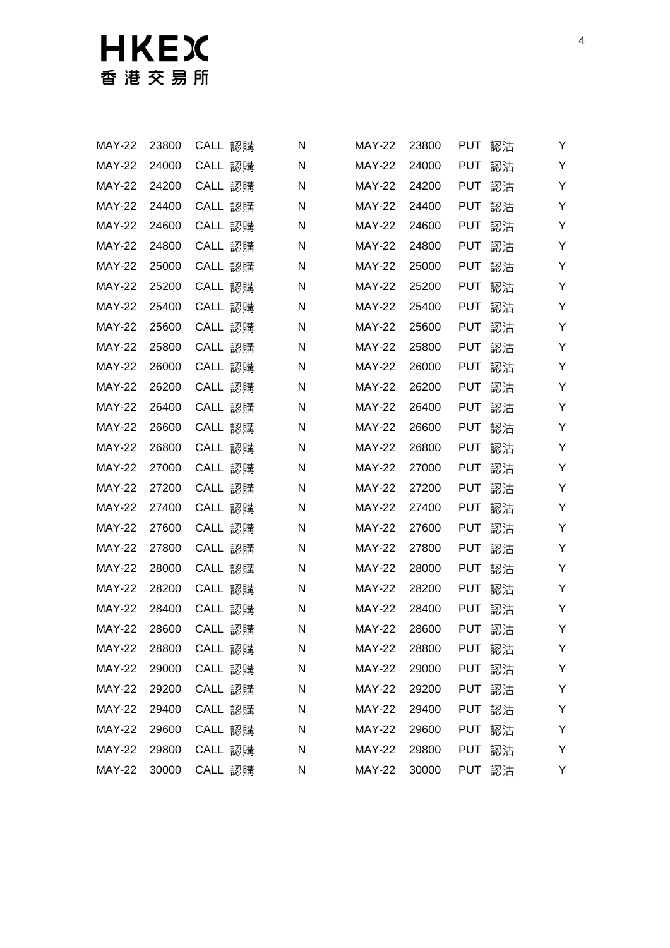# 日KEX

| <b>MAY-22</b> | 23800 | CALL 認購 | N | <b>MAY-22</b> | 23800 | <b>PUT</b> | 認沽 | Y |
|---------------|-------|---------|---|---------------|-------|------------|----|---|
| <b>MAY-22</b> | 24000 | CALL 認購 | N | <b>MAY-22</b> | 24000 | <b>PUT</b> | 認沽 | Υ |
| <b>MAY-22</b> | 24200 | CALL 認購 | N | <b>MAY-22</b> | 24200 | <b>PUT</b> | 認沽 | Υ |
| <b>MAY-22</b> | 24400 | CALL 認購 | N | <b>MAY-22</b> | 24400 | <b>PUT</b> | 認沽 | Υ |
| <b>MAY-22</b> | 24600 | CALL 認購 | N | <b>MAY-22</b> | 24600 | <b>PUT</b> | 認沽 | Υ |
| <b>MAY-22</b> | 24800 | CALL 認購 | N | <b>MAY-22</b> | 24800 | <b>PUT</b> | 認沽 | Υ |
| <b>MAY-22</b> | 25000 | CALL 認購 | N | <b>MAY-22</b> | 25000 | <b>PUT</b> | 認沽 | Y |
| <b>MAY-22</b> | 25200 | CALL 認購 | N | <b>MAY-22</b> | 25200 | <b>PUT</b> | 認沽 | Y |
| <b>MAY-22</b> | 25400 | CALL 認購 | N | <b>MAY-22</b> | 25400 | <b>PUT</b> | 認沽 | Υ |
| <b>MAY-22</b> | 25600 | CALL 認購 | N | <b>MAY-22</b> | 25600 | <b>PUT</b> | 認沽 | Y |
| <b>MAY-22</b> | 25800 | CALL 認購 | N | <b>MAY-22</b> | 25800 | <b>PUT</b> | 認沽 | Y |
| <b>MAY-22</b> | 26000 | CALL 認購 | N | <b>MAY-22</b> | 26000 | <b>PUT</b> | 認沽 | Y |
| <b>MAY-22</b> | 26200 | CALL 認購 | N | <b>MAY-22</b> | 26200 | <b>PUT</b> | 認沽 | Υ |
| <b>MAY-22</b> | 26400 | CALL 認購 | N | <b>MAY-22</b> | 26400 | <b>PUT</b> | 認沽 | Υ |
| <b>MAY-22</b> | 26600 | CALL 認購 | N | <b>MAY-22</b> | 26600 | <b>PUT</b> | 認沽 | Υ |
| <b>MAY-22</b> | 26800 | CALL 認購 | N | <b>MAY-22</b> | 26800 | <b>PUT</b> | 認沽 | Υ |
| <b>MAY-22</b> | 27000 | CALL 認購 | N | <b>MAY-22</b> | 27000 | <b>PUT</b> | 認沽 | Υ |
| <b>MAY-22</b> | 27200 | CALL 認購 | N | <b>MAY-22</b> | 27200 | <b>PUT</b> | 認沽 | Y |
| <b>MAY-22</b> | 27400 | CALL 認購 | N | <b>MAY-22</b> | 27400 | <b>PUT</b> | 認沽 | Υ |
| <b>MAY-22</b> | 27600 | CALL 認購 | N | <b>MAY-22</b> | 27600 | <b>PUT</b> | 認沽 | Y |
| <b>MAY-22</b> | 27800 | CALL 認購 | N | <b>MAY-22</b> | 27800 | <b>PUT</b> | 認沽 | Υ |
| <b>MAY-22</b> | 28000 | CALL 認購 | N | <b>MAY-22</b> | 28000 | <b>PUT</b> | 認沽 | Y |
| <b>MAY-22</b> | 28200 | CALL 認購 | N | <b>MAY-22</b> | 28200 | <b>PUT</b> | 認沽 | Υ |
| <b>MAY-22</b> | 28400 | CALL 認購 | N | <b>MAY-22</b> | 28400 | <b>PUT</b> | 認沽 | Y |
| <b>MAY-22</b> | 28600 | CALL 認購 | N | <b>MAY-22</b> | 28600 | PUT        | 認沽 | Y |
| <b>MAY-22</b> | 28800 | CALL 認購 | N | <b>MAY-22</b> | 28800 | PUT        | 認沽 | Y |
| <b>MAY-22</b> | 29000 | CALL 認購 | N | <b>MAY-22</b> | 29000 | <b>PUT</b> | 認沽 | Υ |
| <b>MAY-22</b> | 29200 | CALL 認購 | N | <b>MAY-22</b> | 29200 | <b>PUT</b> | 認沽 | Υ |
| <b>MAY-22</b> | 29400 | CALL 認購 | N | <b>MAY-22</b> | 29400 | <b>PUT</b> | 認沽 | Υ |
| <b>MAY-22</b> | 29600 | CALL 認購 | N | <b>MAY-22</b> | 29600 | <b>PUT</b> | 認沽 | Υ |
| <b>MAY-22</b> | 29800 | CALL 認購 | N | <b>MAY-22</b> | 29800 | <b>PUT</b> | 認沽 | Υ |
| <b>MAY-22</b> | 30000 | CALL 認購 | N | <b>MAY-22</b> | 30000 | <b>PUT</b> | 認沽 | Y |
|               |       |         |   |               |       |            |    |   |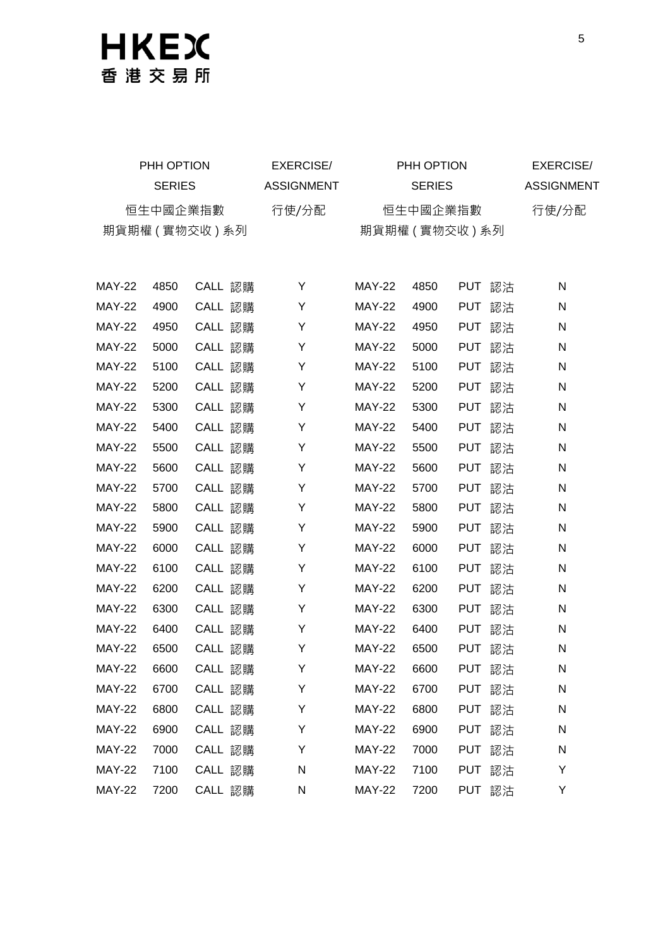| PHH OPTION       |               |          | EXERCISE/  | PHH OPTION                   |               |            | EXERCISE/ |                   |
|------------------|---------------|----------|------------|------------------------------|---------------|------------|-----------|-------------------|
|                  | <b>SERIES</b> |          | ASSIGNMENT |                              | <b>SERIES</b> |            |           | <b>ASSIGNMENT</b> |
|                  |               | 恒生中國企業指數 | 行使/分配      |                              |               | 行使/分配      |           |                   |
| 期貨期權 ( 實物交收 ) 系列 |               |          |            | 恒生中國企業指數<br>期貨期權 ( 實物交收 ) 系列 |               |            |           |                   |
|                  |               |          |            |                              |               |            |           |                   |
|                  |               |          |            |                              |               |            |           |                   |
| <b>MAY-22</b>    | 4850          | CALL 認購  | Y          | <b>MAY-22</b>                | 4850          |            | PUT 認沽    | N                 |
| <b>MAY-22</b>    | 4900          | CALL 認購  | Y          | <b>MAY-22</b>                | 4900          | <b>PUT</b> | 認沽        | N                 |
| <b>MAY-22</b>    | 4950          | CALL 認購  | Y          | <b>MAY-22</b>                | 4950          |            | PUT 認沽    | N                 |
| <b>MAY-22</b>    | 5000          | CALL 認購  | Y          | <b>MAY-22</b>                | 5000          |            | PUT 認沽    | N                 |
| <b>MAY-22</b>    | 5100          | CALL 認購  | Y          | <b>MAY-22</b>                | 5100          |            | PUT 認沽    | N                 |
| <b>MAY-22</b>    | 5200          | CALL 認購  | Y          | <b>MAY-22</b>                | 5200          |            | PUT 認沽    | N                 |
| <b>MAY-22</b>    | 5300          | CALL 認購  | Y          | <b>MAY-22</b>                | 5300          |            | PUT 認沽    | N                 |
| <b>MAY-22</b>    | 5400          | CALL 認購  | Y          | <b>MAY-22</b>                | 5400          |            | PUT 認沽    | N                 |
| <b>MAY-22</b>    | 5500          | CALL 認購  | Y          | <b>MAY-22</b>                | 5500          |            | PUT 認沽    | N                 |
| <b>MAY-22</b>    | 5600          | CALL 認購  | Y          | <b>MAY-22</b>                | 5600          | <b>PUT</b> | 認沽        | N                 |
| <b>MAY-22</b>    | 5700          | CALL 認購  | Y          | <b>MAY-22</b>                | 5700          | <b>PUT</b> | 認沽        | N                 |
| <b>MAY-22</b>    | 5800          | CALL 認購  | Y          | <b>MAY-22</b>                | 5800          |            | PUT 認沽    | N                 |
| <b>MAY-22</b>    | 5900          | CALL 認購  | Y          | <b>MAY-22</b>                | 5900          |            | PUT 認沽    | N                 |
| <b>MAY-22</b>    | 6000          | CALL 認購  | Υ          | <b>MAY-22</b>                | 6000          |            | PUT 認沽    | N                 |
| <b>MAY-22</b>    | 6100          | CALL 認購  | Y          | <b>MAY-22</b>                | 6100          |            | PUT 認沽    | N                 |
| <b>MAY-22</b>    | 6200          | CALL 認購  | Υ          | <b>MAY-22</b>                | 6200          |            | PUT 認沽    | N                 |
| <b>MAY-22</b>    | 6300          | CALL 認購  | Y          | <b>MAY-22</b>                | 6300          |            | PUT 認沽    | N                 |
| <b>MAY-22</b>    | 6400          | CALL 認購  | Y          | <b>MAY-22</b>                | 6400          |            | PUT 認沽    | N                 |
| <b>MAY-22</b>    | 6500          | CALL 認購  | Y          | <b>MAY-22</b>                | 6500          |            | PUT 認沽    | N                 |
| <b>MAY-22</b>    | 6600          | CALL 認購  | Y          | <b>MAY-22</b>                | 6600          |            | PUT 認沽    | N                 |
| <b>MAY-22</b>    | 6700          | CALL 認購  | Υ          | <b>MAY-22</b>                | 6700          | PUT        | 認沽        | N                 |
| <b>MAY-22</b>    | 6800          | CALL 認購  | Υ          | <b>MAY-22</b>                | 6800          | PUT        | 認沽        | N                 |
| <b>MAY-22</b>    | 6900          | CALL 認購  | Υ          | <b>MAY-22</b>                | 6900          | <b>PUT</b> | 認沽        | N                 |
| <b>MAY-22</b>    | 7000          | CALL 認購  | Υ          | <b>MAY-22</b>                | 7000          | PUT        | 認沽        | N                 |
| <b>MAY-22</b>    | 7100          | CALL 認購  | N          | <b>MAY-22</b>                | 7100          |            | PUT 認沽    | Υ                 |
| <b>MAY-22</b>    | 7200          | CALL 認購  | N          | <b>MAY-22</b>                | 7200          |            | PUT 認沽    | Υ                 |
|                  |               |          |            |                              |               |            |           |                   |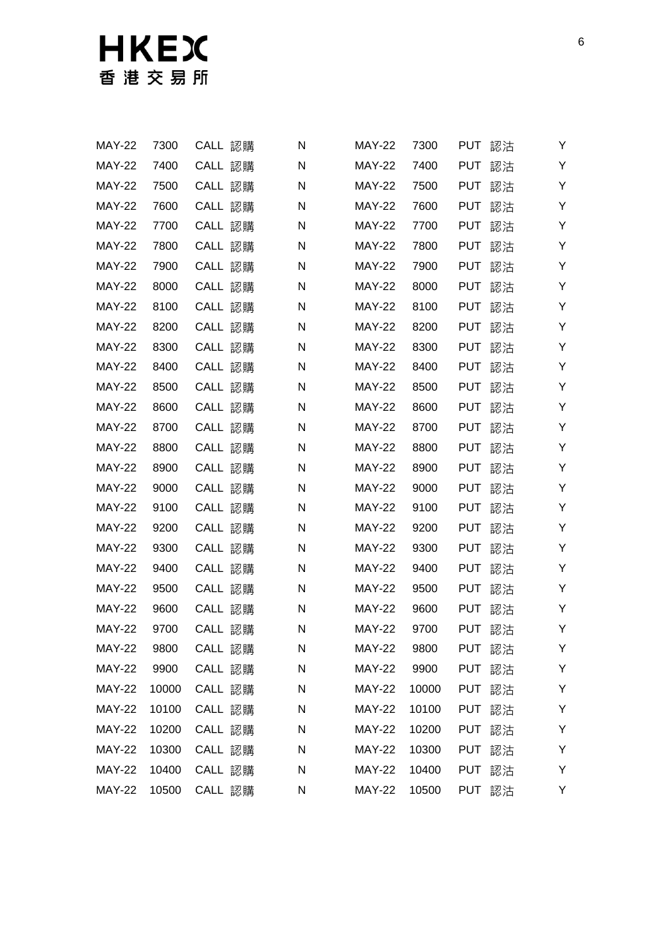| <b>MAY-22</b> | 7300  | CALL 認購 | N | <b>MAY-22</b> | 7300  | <b>PUT</b> | 認沽 | Y  |
|---------------|-------|---------|---|---------------|-------|------------|----|----|
| <b>MAY-22</b> | 7400  | CALL 認購 | N | <b>MAY-22</b> | 7400  | <b>PUT</b> | 認沽 | Υ  |
| <b>MAY-22</b> | 7500  | CALL 認購 | N | <b>MAY-22</b> | 7500  | <b>PUT</b> | 認沽 | Υ  |
| <b>MAY-22</b> | 7600  | CALL 認購 | N | <b>MAY-22</b> | 7600  | <b>PUT</b> | 認沽 | Υ  |
| <b>MAY-22</b> | 7700  | CALL 認購 | N | <b>MAY-22</b> | 7700  | <b>PUT</b> | 認沽 | Υ  |
| <b>MAY-22</b> | 7800  | CALL 認購 | N | <b>MAY-22</b> | 7800  | <b>PUT</b> | 認沽 | Υ  |
| <b>MAY-22</b> | 7900  | CALL 認購 | N | <b>MAY-22</b> | 7900  | <b>PUT</b> | 認沽 | Υ  |
| <b>MAY-22</b> | 8000  | CALL 認購 | N | <b>MAY-22</b> | 8000  | <b>PUT</b> | 認沽 | Υ  |
| <b>MAY-22</b> | 8100  | CALL 認購 | N | <b>MAY-22</b> | 8100  | <b>PUT</b> | 認沽 | Υ  |
| <b>MAY-22</b> | 8200  | CALL 認購 | N | <b>MAY-22</b> | 8200  | <b>PUT</b> | 認沽 | Y  |
| <b>MAY-22</b> | 8300  | CALL 認購 | N | <b>MAY-22</b> | 8300  | <b>PUT</b> | 認沽 | Υ  |
| <b>MAY-22</b> | 8400  | CALL 認購 | N | <b>MAY-22</b> | 8400  | <b>PUT</b> | 認沽 | Υ  |
| <b>MAY-22</b> | 8500  | CALL 認購 | N | <b>MAY-22</b> | 8500  | <b>PUT</b> | 認沽 | Υ  |
| <b>MAY-22</b> | 8600  | CALL 認購 | N | <b>MAY-22</b> | 8600  | <b>PUT</b> | 認沽 | Y  |
| <b>MAY-22</b> | 8700  | CALL 認購 | N | <b>MAY-22</b> | 8700  | <b>PUT</b> | 認沽 | Y  |
| <b>MAY-22</b> | 8800  | CALL 認購 | N | <b>MAY-22</b> | 8800  | <b>PUT</b> | 認沽 | Υ  |
| <b>MAY-22</b> | 8900  | CALL 認購 | N | <b>MAY-22</b> | 8900  | <b>PUT</b> | 認沽 | Υ  |
| <b>MAY-22</b> | 9000  | CALL 認購 | N | <b>MAY-22</b> | 9000  | <b>PUT</b> | 認沽 | Y  |
| <b>MAY-22</b> | 9100  | CALL 認購 | N | <b>MAY-22</b> | 9100  | <b>PUT</b> | 認沽 | Υ  |
| <b>MAY-22</b> | 9200  | CALL 認購 | N | <b>MAY-22</b> | 9200  | <b>PUT</b> | 認沽 | Y  |
| <b>MAY-22</b> | 9300  | CALL 認購 | N | <b>MAY-22</b> | 9300  | <b>PUT</b> | 認沽 | Υ  |
| <b>MAY-22</b> | 9400  | CALL 認購 | Ν | <b>MAY-22</b> | 9400  | <b>PUT</b> | 認沽 | Υ  |
| <b>MAY-22</b> | 9500  | CALL 認購 | Ν | <b>MAY-22</b> | 9500  | <b>PUT</b> | 認沽 | Υ  |
| <b>MAY-22</b> | 9600  | CALL 認購 | Ν | <b>MAY-22</b> | 9600  | <b>PUT</b> | 認沽 | Υ  |
| <b>MAY-22</b> | 9700  | CALL 認購 | N | <b>MAY-22</b> | 9700  | <b>PUT</b> | 認沽 | Y  |
| <b>MAY-22</b> | 9800  | CALL 認購 | N | <b>MAY-22</b> | 9800  | PUT        | 認沽 | Y. |
| <b>MAY-22</b> | 9900  | CALL 認購 | N | <b>MAY-22</b> | 9900  | PUT 認沽     |    | Y  |
| <b>MAY-22</b> | 10000 | CALL 認購 | N | <b>MAY-22</b> | 10000 | <b>PUT</b> | 認沽 | Υ  |
| <b>MAY-22</b> | 10100 | CALL 認購 | N | <b>MAY-22</b> | 10100 | PUT        | 認沽 | Υ  |
| <b>MAY-22</b> | 10200 | CALL 認購 | N | <b>MAY-22</b> | 10200 | <b>PUT</b> | 認沽 | Υ  |
| <b>MAY-22</b> | 10300 | CALL 認購 | N | <b>MAY-22</b> | 10300 | <b>PUT</b> | 認沽 | Υ  |
| <b>MAY-22</b> | 10400 | CALL 認購 | N | <b>MAY-22</b> | 10400 | <b>PUT</b> | 認沽 | Υ  |
| <b>MAY-22</b> | 10500 | CALL 認購 | N | <b>MAY-22</b> | 10500 | PUT 認沽     |    | Y  |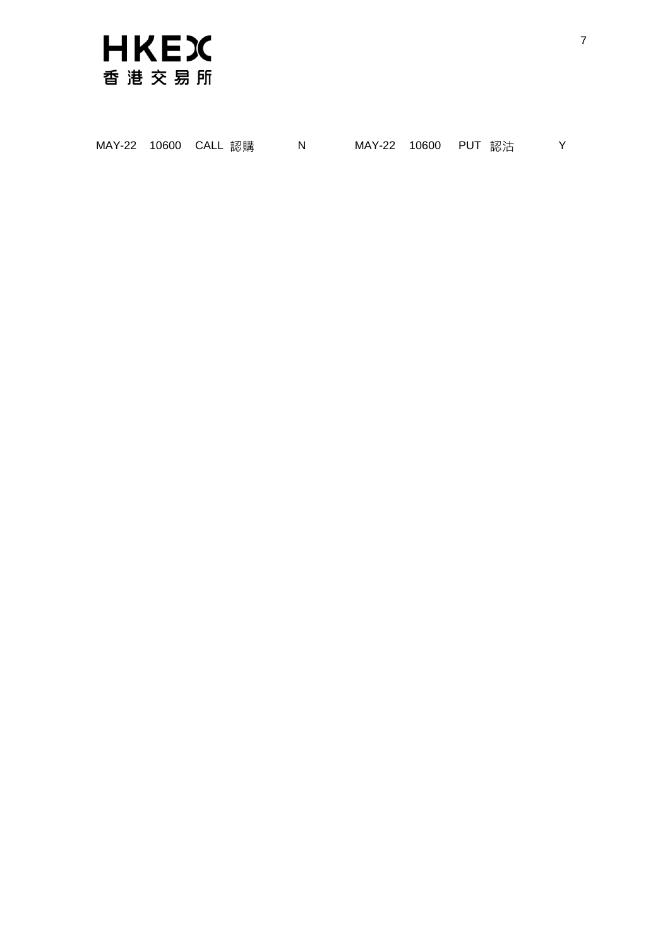

|  |  | MAY-22 10600 CALL 認購 |  |  |  | MAY-22 10600 PUT 認沽 |  |
|--|--|----------------------|--|--|--|---------------------|--|
|--|--|----------------------|--|--|--|---------------------|--|